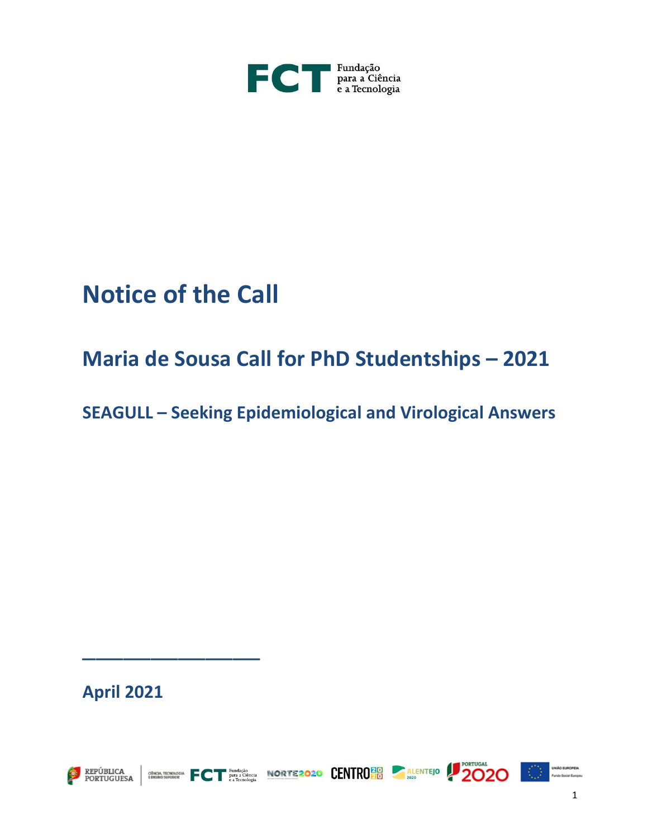

# **Notice of the Call**

## **Maria de Sousa Call for PhD Studentships – 2021**

**SEAGULL – Seeking Epidemiological and Virological Answers**

ECT PROPOSE NORTEZOZO CENTROLLE ALENTEJO 20 20

**April 2021**

\_\_\_\_\_\_\_\_\_\_\_\_\_





1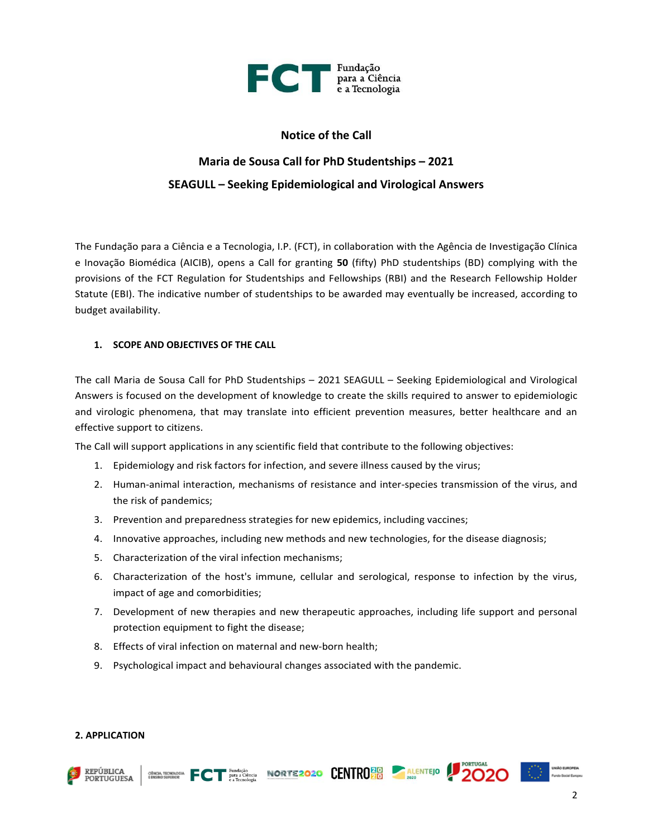

#### **Notice of the Call**

## **Maria de Sousa Call for PhD Studentships – 2021 SEAGULL – Seeking Epidemiological and Virological Answers**

The Fundação para a Ciência e a Tecnologia, I.P. (FCT), in collaboration with the Agência de Investigação Clínica e Inovação Biomédica (AICIB), opens a Call for granting **50** (fifty) PhD studentships (BD) complying with the provisions of the FCT Regulation for Studentships and Fellowships (RBI) and the Research Fellowship Holder Statute (EBI). The indicative number of studentships to be awarded may eventually be increased, according to budget availability.

#### **1. SCOPE AND OBJECTIVES OF THE CALL**

The call Maria de Sousa Call for PhD Studentships – 2021 SEAGULL – Seeking Epidemiological and Virological Answers is focused on the development of knowledge to create the skills required to answer to epidemiologic and virologic phenomena, that may translate into efficient prevention measures, better healthcare and an effective support to citizens.

The Call will support applications in any scientific field that contribute to the following objectives:

- 1. Epidemiology and risk factors for infection, and severe illness caused by the virus;
- 2. Human-animal interaction, mechanisms of resistance and inter-species transmission of the virus, and the risk of pandemics;
- 3. Prevention and preparedness strategies for new epidemics, including vaccines;
- 4. Innovative approaches, including new methods and new technologies, for the disease diagnosis;
- 5. Characterization of the viral infection mechanisms;
- 6. Characterization of the host's immune, cellular and serological, response to infection by the virus, impact of age and comorbidities;
- 7. Development of new therapies and new therapeutic approaches, including life support and personal protection equipment to fight the disease;
- 8. Effects of viral infection on maternal and new-born health;
- 9. Psychological impact and behavioural changes associated with the pandemic.

#### **2. APPLICATION**







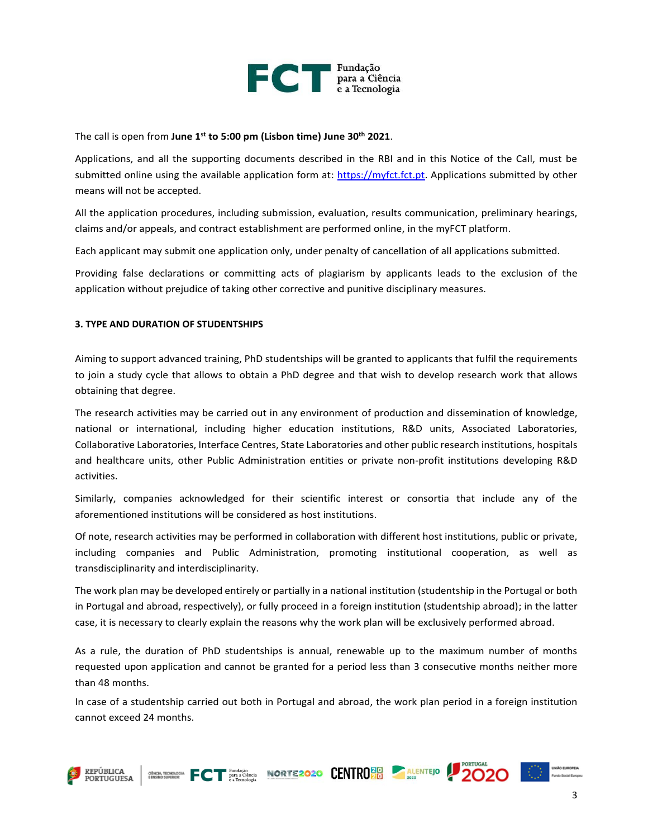

#### The call is open from **June 1 st to 5:00 pm (Lisbon time) June 30th 2021**.

Applications, and all the supporting documents described in the RBI and in this Notice of the Call, must be submitted online using the available application form at: [https://myfct.fct.pt.](https://myfct.fct.pt/) Applications submitted by other means will not be accepted.

All the application procedures, including submission, evaluation, results communication, preliminary hearings, claims and/or appeals, and contract establishment are performed online, in the myFCT platform.

Each applicant may submit one application only, under penalty of cancellation of all applications submitted.

Providing false declarations or committing acts of plagiarism by applicants leads to the exclusion of the application without prejudice of taking other corrective and punitive disciplinary measures.

#### **3. TYPE AND DURATION OF STUDENTSHIPS**

Aiming to support advanced training, PhD studentships will be granted to applicants that fulfil the requirements to join a study cycle that allows to obtain a PhD degree and that wish to develop research work that allows obtaining that degree.

The research activities may be carried out in any environment of production and dissemination of knowledge, national or international, including higher education institutions, R&D units, Associated Laboratories, Collaborative Laboratories, Interface Centres, State Laboratories and other public research institutions, hospitals and healthcare units, other Public Administration entities or private non-profit institutions developing R&D activities.

Similarly, companies acknowledged for their scientific interest or consortia that include any of the aforementioned institutions will be considered as host institutions.

Of note, research activities may be performed in collaboration with different host institutions, public or private, including companies and Public Administration, promoting institutional cooperation, as well as transdisciplinarity and interdisciplinarity.

The work plan may be developed entirely or partially in a national institution (studentship in the Portugal or both in Portugal and abroad, respectively), or fully proceed in a foreign institution (studentship abroad); in the latter case, it is necessary to clearly explain the reasons why the work plan will be exclusively performed abroad.

As a rule, the duration of PhD studentships is annual, renewable up to the maximum number of months requested upon application and cannot be granted for a period less than 3 consecutive months neither more than 48 months.

In case of a studentship carried out both in Portugal and abroad, the work plan period in a foreign institution cannot exceed 24 months.

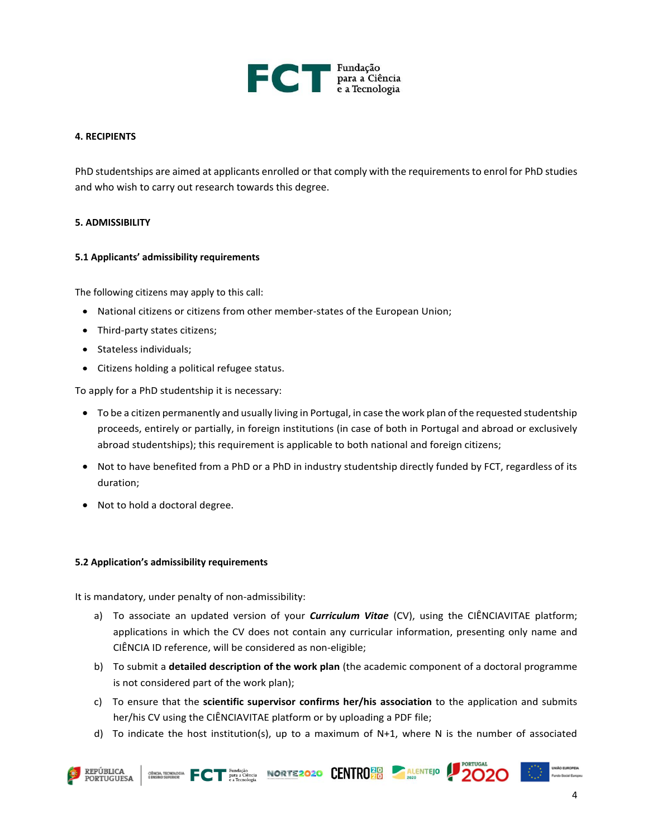

#### **4. RECIPIENTS**

PhD studentships are aimed at applicants enrolled or that comply with the requirements to enrol for PhD studies and who wish to carry out research towards this degree.

#### **5. ADMISSIBILITY**

#### **5.1 Applicants' admissibility requirements**

The following citizens may apply to this call:

- National citizens or citizens from other member-states of the European Union;
- Third-party states citizens;
- Stateless individuals;
- Citizens holding a political refugee status.

To apply for a PhD studentship it is necessary:

- To be a citizen permanently and usually living in Portugal, in case the work plan of the requested studentship proceeds, entirely or partially, in foreign institutions (in case of both in Portugal and abroad or exclusively abroad studentships); this requirement is applicable to both national and foreign citizens;
- Not to have benefited from a PhD or a PhD in industry studentship directly funded by FCT, regardless of its duration;
- Not to hold a doctoral degree.

#### **5.2 Application's admissibility requirements**

It is mandatory, under penalty of non-admissibility:

- a) To associate an updated version of your *Curriculum Vitae* (CV), using the CIÊNCIAVITAE platform; applications in which the CV does not contain any curricular information, presenting only name and CIÊNCIA ID reference, will be considered as non-eligible;
- b) To submit a **detailed description of the work plan** (the academic component of a doctoral programme is not considered part of the work plan);
- c) To ensure that the **scientific supervisor confirms her/his association** to the application and submits her/his CV using the CIÊNCIAVITAE platform or by uploading a PDF file;
- d) To indicate the host institution(s), up to a maximum of N+1, where N is the number of associated



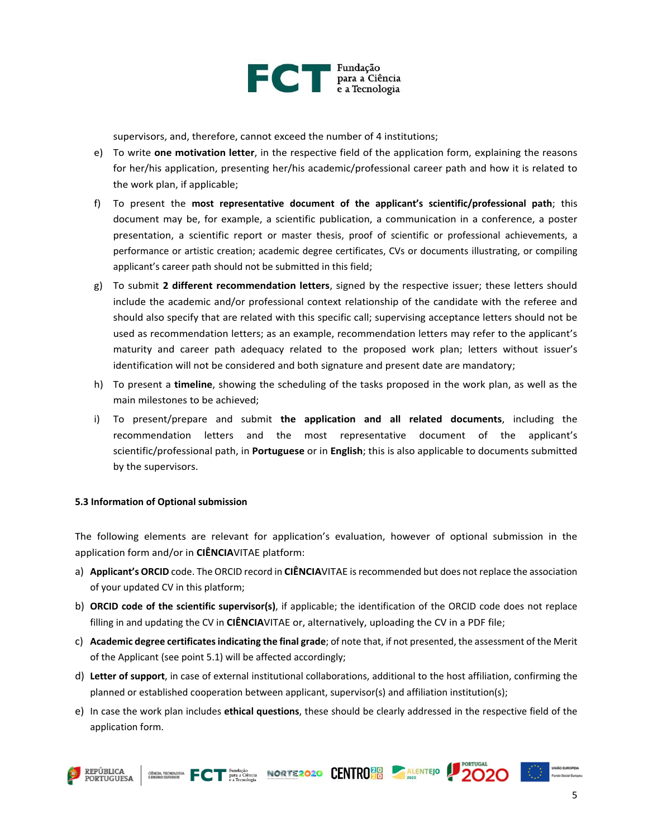

supervisors, and, therefore, cannot exceed the number of 4 institutions;

- e) To write **one motivation letter**, in the respective field of the application form, explaining the reasons for her/his application, presenting her/his academic/professional career path and how it is related to the work plan, if applicable;
- f) To present the **most representative document of the applicant's scientific/professional path**; this document may be, for example, a scientific publication, a communication in a conference, a poster presentation, a scientific report or master thesis, proof of scientific or professional achievements, a performance or artistic creation; academic degree certificates, CVs or documents illustrating, or compiling applicant's career path should not be submitted in this field;
- g) To submit **2 different recommendation letters**, signed by the respective issuer; these letters should include the academic and/or professional context relationship of the candidate with the referee and should also specify that are related with this specific call; supervising acceptance letters should not be used as recommendation letters; as an example, recommendation letters may refer to the applicant's maturity and career path adequacy related to the proposed work plan; letters without issuer's identification will not be considered and both signature and present date are mandatory;
- h) To present a **timeline**, showing the scheduling of the tasks proposed in the work plan, as well as the main milestones to be achieved;
- i) To present/prepare and submit **the application and all related documents**, including the recommendation letters and the most representative document of the applicant's scientific/professional path, in **Portuguese** or in **English**; this is also applicable to documents submitted by the supervisors.

#### **5.3 Information of Optional submission**

The following elements are relevant for application's evaluation, however of optional submission in the application form and/or in **CIÊNCIA**VITAE platform:

- a) **Applicant's ORCID** code. The ORCID record in **CIÊNCIA**VITAE is recommended but does not replace the association of your updated CV in this platform;
- b) **ORCID code of the scientific supervisor(s)**, if applicable; the identification of the ORCID code does not replace filling in and updating the CV in **CIÊNCIA**VITAE or, alternatively, uploading the CV in a PDF file;
- c) **Academic degree certificatesindicating the final grade**; of note that, if not presented, the assessment of the Merit of the Applicant (see point 5.1) will be affected accordingly;
- d) **Letter of support**, in case of external institutional collaborations, additional to the host affiliation, confirming the planned or established cooperation between applicant, supervisor(s) and affiliation institution(s);
- e) In case the work plan includes **ethical questions**, these should be clearly addressed in the respective field of the application form.







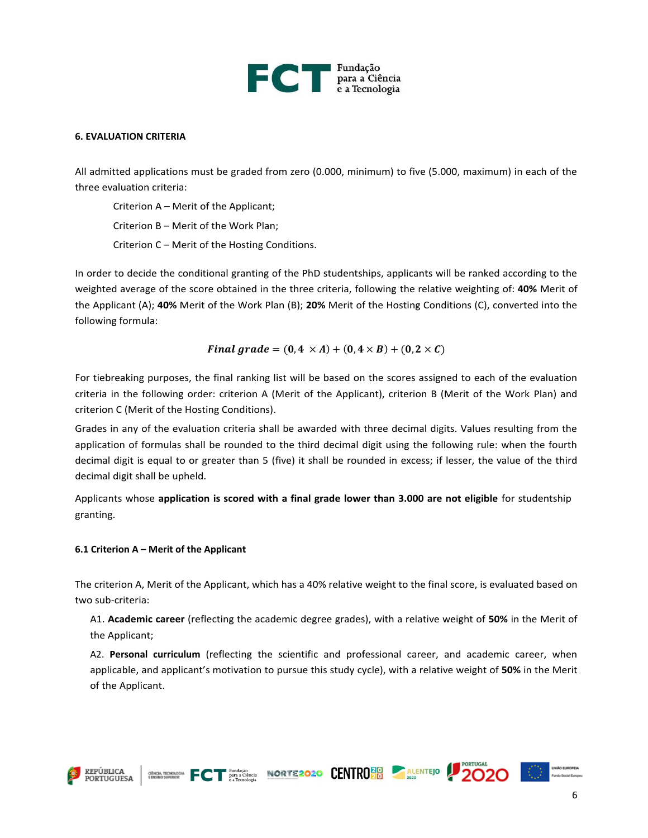

#### **6. EVALUATION CRITERIA**

All admitted applications must be graded from zero (0.000, minimum) to five (5.000, maximum) in each of the three evaluation criteria:

Criterion A – Merit of the Applicant; Criterion B – Merit of the Work Plan;

Criterion C – Merit of the Hosting Conditions.

In order to decide the conditional granting of the PhD studentships, applicants will be ranked according to the weighted average of the score obtained in the three criteria, following the relative weighting of: **40%** Merit of the Applicant (A); **40%** Merit of the Work Plan (B); **20%** Merit of the Hosting Conditions (C), converted into the following formula:

#### Final grade =  $(0, 4 \times A) + (0, 4 \times B) + (0, 2 \times C)$

For tiebreaking purposes, the final ranking list will be based on the scores assigned to each of the evaluation criteria in the following order: criterion A (Merit of the Applicant), criterion B (Merit of the Work Plan) and criterion C (Merit of the Hosting Conditions).

Grades in any of the evaluation criteria shall be awarded with three decimal digits. Values resulting from the application of formulas shall be rounded to the third decimal digit using the following rule: when the fourth decimal digit is equal to or greater than 5 (five) it shall be rounded in excess; if lesser, the value of the third decimal digit shall be upheld.

Applicants whose **application is scored with a final grade lower than 3.000 are not eligible** for studentship granting.

#### **6.1 Criterion A – Merit of the Applicant**

The criterion A, Merit of the Applicant, which has a 40% relative weight to the final score, is evaluated based on two sub-criteria:

A1. **Academic career** (reflecting the academic degree grades), with a relative weight of **50%** in the Merit of the Applicant;

A2. **Personal curriculum** (reflecting the scientific and professional career, and academic career, when applicable, and applicant's motivation to pursue this study cycle), with a relative weight of **50%** in the Merit of the Applicant.







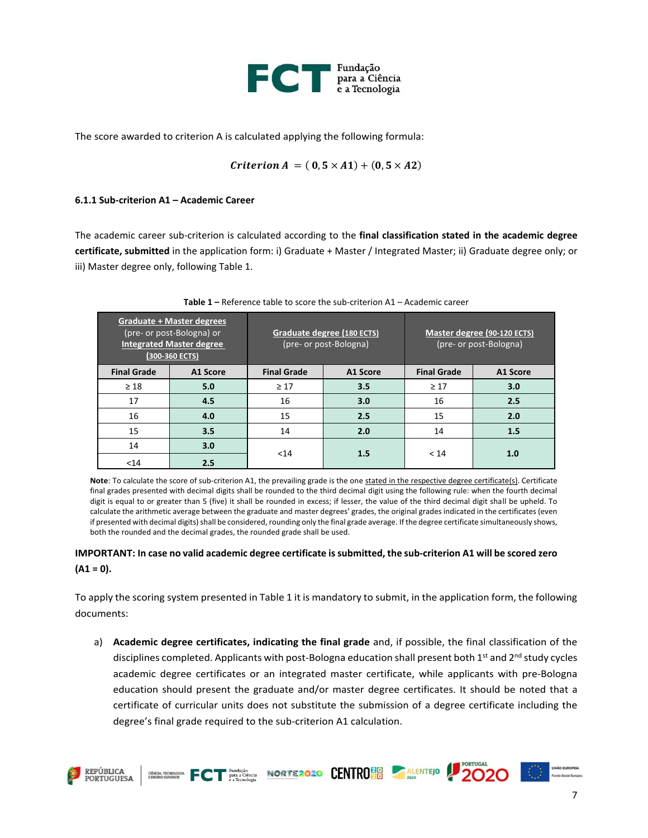

The score awarded to criterion A is calculated applying the following formula:

$$
Criterion A = (0, 5 \times A1) + (0, 5 \times A2)
$$

#### **6.1.1 Sub-criterion A1 – Academic Career**

The academic career sub-criterion is calculated according to the **final classification stated in the academic degree certificate, submitted** in the application form: i) Graduate + Master / Integrated Master; ii) Graduate degree only; or iii) Master degree only, following Table 1.

| <b>Graduate + Master degrees</b><br>(pre- or post-Bologna) or<br><b>Integrated Master degree</b><br>(300-360 ECTS) |          | Graduate degree (180 ECTS)<br>(pre- or post-Bologna) |          | Master degree (90-120 ECTS)<br>(pre- or post-Bologna) |          |
|--------------------------------------------------------------------------------------------------------------------|----------|------------------------------------------------------|----------|-------------------------------------------------------|----------|
| <b>Final Grade</b>                                                                                                 | A1 Score | <b>Final Grade</b>                                   | A1 Score | <b>Final Grade</b>                                    | A1 Score |
| $\geq 18$                                                                                                          | 5.0      | $\geq 17$                                            | 3.5      | $\geq 17$                                             | 3.0      |
| 17                                                                                                                 | 4.5      | 16                                                   | 3.0      | 16                                                    | 2.5      |
| 16                                                                                                                 | 4.0      | 15                                                   | 2.5      | 15                                                    | 2.0      |
| 15                                                                                                                 | 3.5      | 14                                                   | 2.0      | 14                                                    | 1.5      |
| 14                                                                                                                 | 3.0      | $14$                                                 | 1.5      | < 14                                                  | 1.0      |
| $14$                                                                                                               | 2.5      |                                                      |          |                                                       |          |

| <b>Table 1 –</b> Reference table to score the sub-criterion A1 – Academic career |
|----------------------------------------------------------------------------------|
|----------------------------------------------------------------------------------|

Note: To calculate the score of sub-criterion A1, the prevailing grade is the one stated in the respective degree certificate(s). Certificate final grades presented with decimal digits shall be rounded to the third decimal digit using the following rule: when the fourth decimal digit is equal to or greater than 5 (five) it shall be rounded in excess; if lesser, the value of the third decimal digit shall be upheld. To calculate the arithmetic average between the graduate and master degrees' grades, the original grades indicated in the certificates (even if presented with decimal digits) shall be considered, rounding only the final grade average. If the degree certificate simultaneously shows, both the rounded and the decimal grades, the rounded grade shall be used.

#### **IMPORTANT: In case no valid academic degree certificate is submitted, the sub-criterion A1 will be scored zero (A1 = 0).**

To apply the scoring system presented in Table 1 it is mandatory to submit, in the application form, the following documents:

a) **Academic degree certificates, indicating the final grade** and, if possible, the final classification of the disciplines completed. Applicants with post-Bologna education shall present both 1<sup>st</sup> and 2<sup>nd</sup> study cycles academic degree certificates or an integrated master certificate, while applicants with pre-Bologna education should present the graduate and/or master degree certificates. It should be noted that a certificate of curricular units does not substitute the submission of a degree certificate including the degree's final grade required to the sub-criterion A1 calculation.

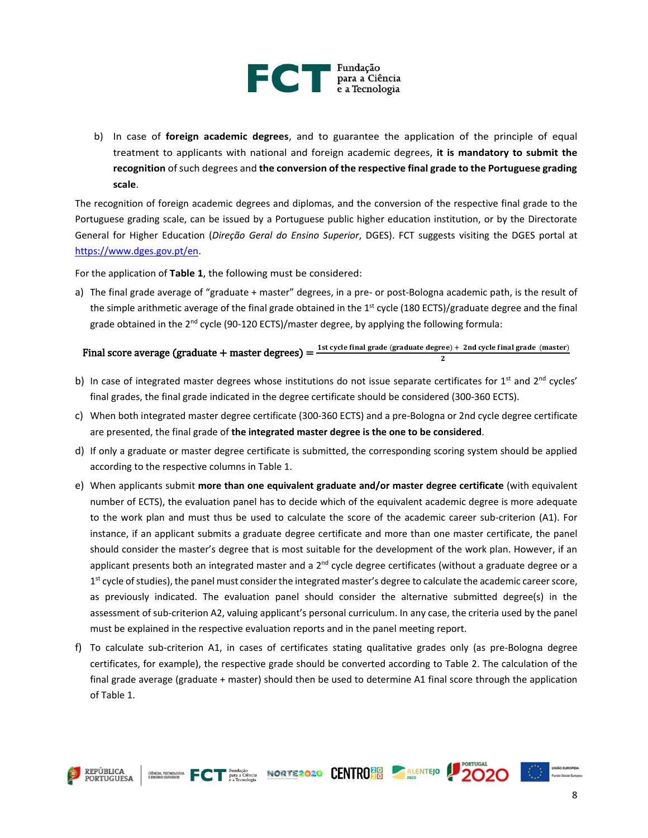

b) In case of **foreign academic degrees**, and to guarantee the application of the principle of equal treatment to applicants with national and foreign academic degrees, **it is mandatory to submit the recognition** of such degrees and **the conversion of the respective final grade to the Portuguese grading scale**.

The recognition of foreign academic degrees and diplomas, and the conversion of the respective final grade to the Portuguese grading scale, can be issued by a Portuguese public higher education institution, or by the Directorate General for Higher Education (*Direção Geral do Ensino Superior*, DGES). FCT suggests visiting the DGES portal at [https://www.dges.gov.pt/en.](https://www.dges.gov.pt/en)

For the application of **Table 1**, the following must be considered:

a) The final grade average of "graduate + master" degrees, in a pre- or post-Bologna academic path, is the result of the simple arithmetic average of the final grade obtained in the  $1<sup>st</sup>$  cycle (180 ECTS)/graduate degree and the final grade obtained in the  $2^{nd}$  cycle (90-120 ECTS)/master degree, by applying the following formula:

### Final score average (graduate + master degrees) =  $\frac{1 \text{st cycle final grade (graduate degree)} + 2 \text{nd cycle final grade (master)}}{2}$

- b) In case of integrated master degrees whose institutions do not issue separate certificates for  $1^{st}$  and  $2^{nd}$  cycles' final grades, the final grade indicated in the degree certificate should be considered (300-360 ECTS).
- c) When both integrated master degree certificate (300-360 ECTS) and a pre-Bologna or 2nd cycle degree certificate are presented, the final grade of **the integrated master degree is the one to be considered**.
- d) If only a graduate or master degree certificate is submitted, the corresponding scoring system should be applied according to the respective columns in Table 1.
- e) When applicants submit **more than one equivalent graduate and/or master degree certificate** (with equivalent number of ECTS), the evaluation panel has to decide which of the equivalent academic degree is more adequate to the work plan and must thus be used to calculate the score of the academic career sub-criterion (A1). For instance, if an applicant submits a graduate degree certificate and more than one master certificate, the panel should consider the master's degree that is most suitable for the development of the work plan. However, if an applicant presents both an integrated master and a 2<sup>nd</sup> cycle degree certificates (without a graduate degree or a 1<sup>st</sup> cycle of studies), the panel must consider the integrated master's degree to calculate the academic career score, as previously indicated. The evaluation panel should consider the alternative submitted degree(s) in the assessment of sub-criterion A2, valuing applicant's personal curriculum. In any case, the criteria used by the panel must be explained in the respective evaluation reports and in the panel meeting report.
- f) To calculate sub-criterion A1, in cases of certificates stating qualitative grades only (as pre-Bologna degree certificates, for example), the respective grade should be converted according to Table 2. The calculation of the final grade average (graduate + master) should then be used to determine A1 final score through the application of Table 1.





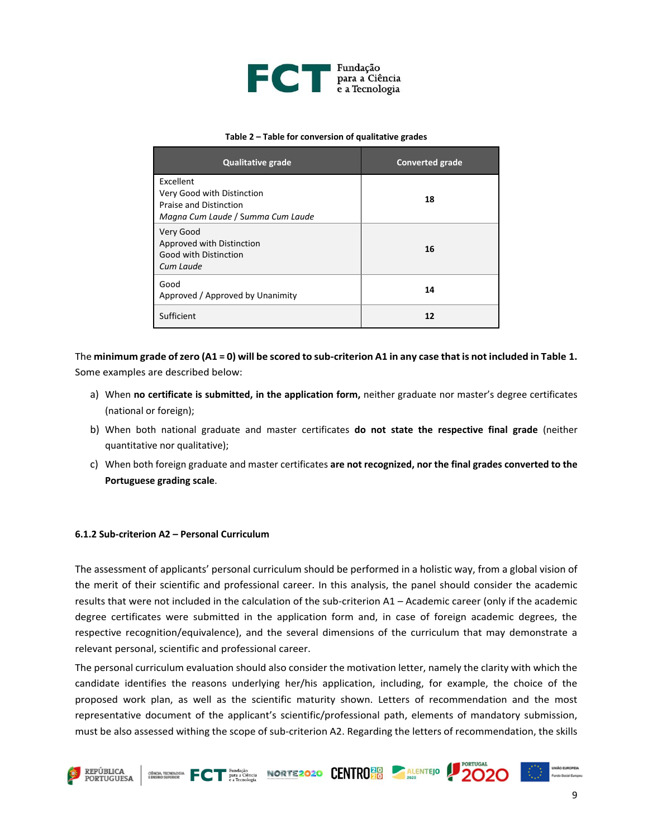

#### **Table 2 – Table for conversion of qualitative grades**

| <b>Qualitative grade</b>                                                                                      | <b>Converted grade</b> |
|---------------------------------------------------------------------------------------------------------------|------------------------|
| Excellent<br>Very Good with Distinction<br><b>Praise and Distinction</b><br>Magna Cum Laude / Summa Cum Laude | 18                     |
| Very Good<br>Approved with Distinction<br>Good with Distinction<br>Cum Laude                                  | 16                     |
| Good<br>Approved / Approved by Unanimity                                                                      | 14                     |
| Sufficient                                                                                                    | 12                     |

The **minimum grade of zero (A1 = 0) will be scored to sub-criterion A1 in any case that is not included in Table 1.**  Some examples are described below:

- a) When **no certificate is submitted, in the application form,** neither graduate nor master's degree certificates (national or foreign);
- b) When both national graduate and master certificates **do not state the respective final grade** (neither quantitative nor qualitative);
- c) When both foreign graduate and master certificates **are not recognized, nor the final grades converted to the Portuguese grading scale**.

#### **6.1.2 Sub-criterion A2 – Personal Curriculum**

The assessment of applicants' personal curriculum should be performed in a holistic way, from a global vision of the merit of their scientific and professional career. In this analysis, the panel should consider the academic results that were not included in the calculation of the sub-criterion A1 – Academic career (only if the academic degree certificates were submitted in the application form and, in case of foreign academic degrees, the respective recognition/equivalence), and the several dimensions of the curriculum that may demonstrate a relevant personal, scientific and professional career.

The personal curriculum evaluation should also consider the motivation letter, namely the clarity with which the candidate identifies the reasons underlying her/his application, including, for example, the choice of the proposed work plan, as well as the scientific maturity shown. Letters of recommendation and the most representative document of the applicant's scientific/professional path, elements of mandatory submission, must be also assessed withing the scope of sub-criterion A2. Regarding the letters of recommendation, the skills

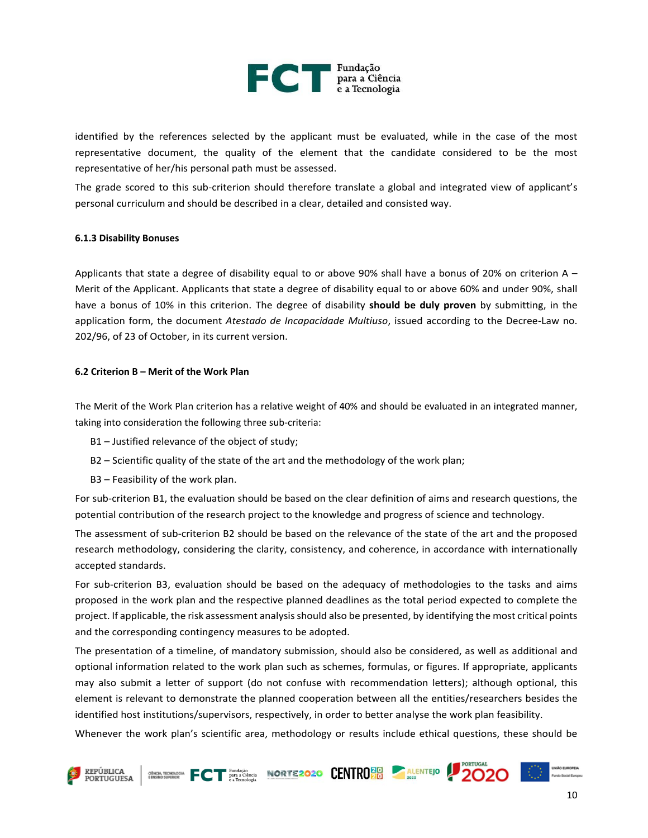

identified by the references selected by the applicant must be evaluated, while in the case of the most representative document, the quality of the element that the candidate considered to be the most representative of her/his personal path must be assessed.

The grade scored to this sub-criterion should therefore translate a global and integrated view of applicant's personal curriculum and should be described in a clear, detailed and consisted way.

#### **6.1.3 Disability Bonuses**

Applicants that state a degree of disability equal to or above 90% shall have a bonus of 20% on criterion A – Merit of the Applicant. Applicants that state a degree of disability equal to or above 60% and under 90%, shall have a bonus of 10% in this criterion. The degree of disability **should be duly proven** by submitting, in the application form, the document *Atestado de Incapacidade Multiuso*, issued according to the Decree-Law no. 202/96, of 23 of October, in its current version.

#### **6.2 Criterion B – Merit of the Work Plan**

The Merit of the Work Plan criterion has a relative weight of 40% and should be evaluated in an integrated manner, taking into consideration the following three sub-criteria:

- B1 Justified relevance of the object of study;
- B2 Scientific quality of the state of the art and the methodology of the work plan;
- B3 Feasibility of the work plan.

For sub-criterion B1, the evaluation should be based on the clear definition of aims and research questions, the potential contribution of the research project to the knowledge and progress of science and technology.

The assessment of sub-criterion B2 should be based on the relevance of the state of the art and the proposed research methodology, considering the clarity, consistency, and coherence, in accordance with internationally accepted standards.

For sub-criterion B3, evaluation should be based on the adequacy of methodologies to the tasks and aims proposed in the work plan and the respective planned deadlines as the total period expected to complete the project. If applicable, the risk assessment analysis should also be presented, by identifying the most critical points and the corresponding contingency measures to be adopted.

The presentation of a timeline, of mandatory submission, should also be considered, as well as additional and optional information related to the work plan such as schemes, formulas, or figures. If appropriate, applicants may also submit a letter of support (do not confuse with recommendation letters); although optional, this element is relevant to demonstrate the planned cooperation between all the entities/researchers besides the identified host institutions/supervisors, respectively, in order to better analyse the work plan feasibility.

Whenever the work plan's scientific area, methodology or results include ethical questions, these should be

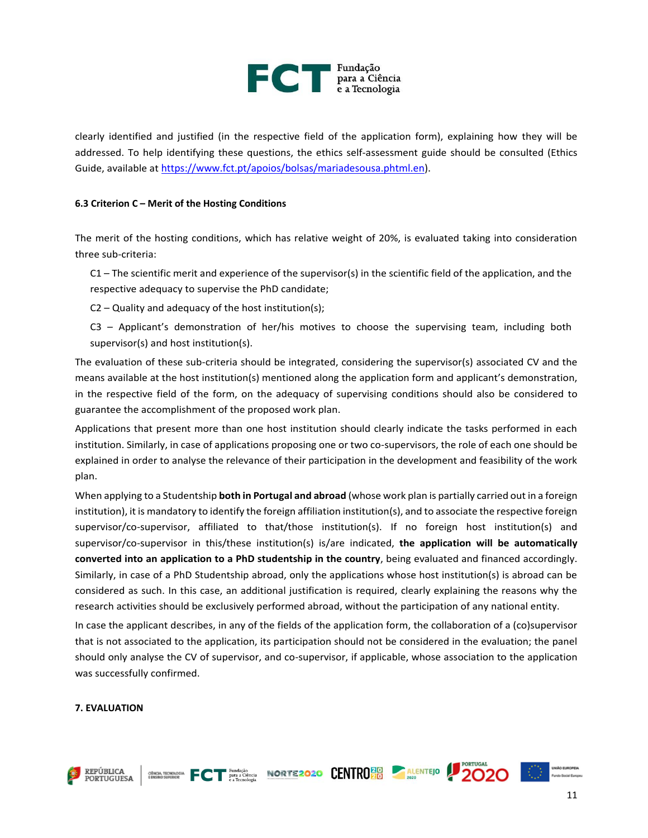

clearly identified and justified (in the respective field of the application form), explaining how they will be addressed. To help identifying these questions, the ethics self-assessment guide should be consulted (Ethics Guide, available at [https://www.fct.pt/apoios/bolsas/mariadesousa.phtml.en\)](https://www.fct.pt/apoios/bolsas/mariadesousa.phtml.en).

#### **6.3 Criterion C – Merit of the Hosting Conditions**

The merit of the hosting conditions, which has relative weight of 20%, is evaluated taking into consideration three sub-criteria:

 $C1$  – The scientific merit and experience of the supervisor(s) in the scientific field of the application, and the respective adequacy to supervise the PhD candidate;

C2 – Quality and adequacy of the host institution(s);

C3 – Applicant's demonstration of her/his motives to choose the supervising team, including both supervisor(s) and host institution(s).

The evaluation of these sub-criteria should be integrated, considering the supervisor(s) associated CV and the means available at the host institution(s) mentioned along the application form and applicant's demonstration, in the respective field of the form, on the adequacy of supervising conditions should also be considered to guarantee the accomplishment of the proposed work plan.

Applications that present more than one host institution should clearly indicate the tasks performed in each institution. Similarly, in case of applications proposing one or two co-supervisors, the role of each one should be explained in order to analyse the relevance of their participation in the development and feasibility of the work plan.

When applying to a Studentship **both in Portugal and abroad** (whose work plan is partially carried out in a foreign institution), it is mandatory to identify the foreign affiliation institution(s), and to associate the respective foreign supervisor/co-supervisor, affiliated to that/those institution(s). If no foreign host institution(s) and supervisor/co-supervisor in this/these institution(s) is/are indicated, **the application will be automatically converted into an application to a PhD studentship in the country**, being evaluated and financed accordingly. Similarly, in case of a PhD Studentship abroad, only the applications whose host institution(s) is abroad can be considered as such. In this case, an additional justification is required, clearly explaining the reasons why the research activities should be exclusively performed abroad, without the participation of any national entity.

In case the applicant describes, in any of the fields of the application form, the collaboration of a (co)supervisor that is not associated to the application, its participation should not be considered in the evaluation; the panel should only analyse the CV of supervisor, and co-supervisor, if applicable, whose association to the application was successfully confirmed.

#### **7. EVALUATION**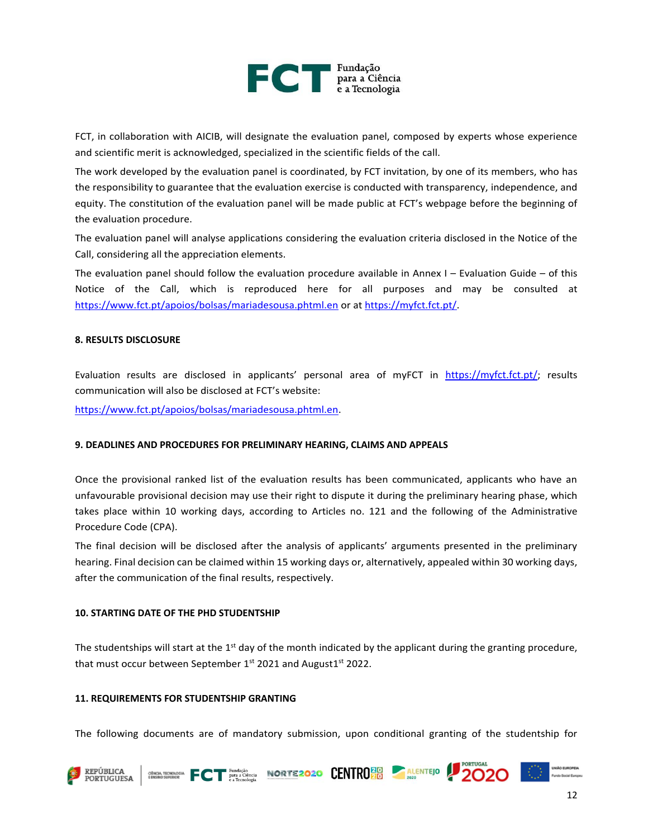

FCT, in collaboration with AICIB, will designate the evaluation panel, composed by experts whose experience and scientific merit is acknowledged, specialized in the scientific fields of the call.

The work developed by the evaluation panel is coordinated, by FCT invitation, by one of its members, who has the responsibility to guarantee that the evaluation exercise is conducted with transparency, independence, and equity. The constitution of the evaluation panel will be made public at FCT's webpage before the beginning of the evaluation procedure.

The evaluation panel will analyse applications considering the evaluation criteria disclosed in the Notice of the Call, considering all the appreciation elements.

The evaluation panel should follow the evaluation procedure available in Annex I – Evaluation Guide – of this Notice of the Call, which is reproduced here for all purposes and may be consulted at <https://www.fct.pt/apoios/bolsas/mariadesousa.phtml.en> or a[t https://myfct.fct.pt/.](https://myfct.fct.pt/)

#### **8. RESULTS DISCLOSURE**

Evaluation results are disclosed in applicants' personal area of myFCT in <https://myfct.fct.pt/>; results communication will also be disclosed at FCT's website:

[https://www.fct.pt/apoios/bolsas/mariadesousa.phtml.en.](https://www.fct.pt/apoios/bolsas/mariadesousa.phtml.en)

#### **9. DEADLINES AND PROCEDURES FOR PRELIMINARY HEARING, CLAIMS AND APPEALS**

Once the provisional ranked list of the evaluation results has been communicated, applicants who have an unfavourable provisional decision may use their right to dispute it during the preliminary hearing phase, which takes place within 10 working days, according to Articles no. 121 and the following of the Administrative Procedure Code (CPA).

The final decision will be disclosed after the analysis of applicants' arguments presented in the preliminary hearing. Final decision can be claimed within 15 working days or, alternatively, appealed within 30 working days, after the communication of the final results, respectively.

#### **10. STARTING DATE OF THE PHD STUDENTSHIP**

The studentships will start at the  $1<sup>st</sup>$  day of the month indicated by the applicant during the granting procedure, that must occur between September 1st 2021 and August1st 2022.

#### **11. REQUIREMENTS FOR STUDENTSHIP GRANTING**

The following documents are of mandatory submission, upon conditional granting of the studentship for

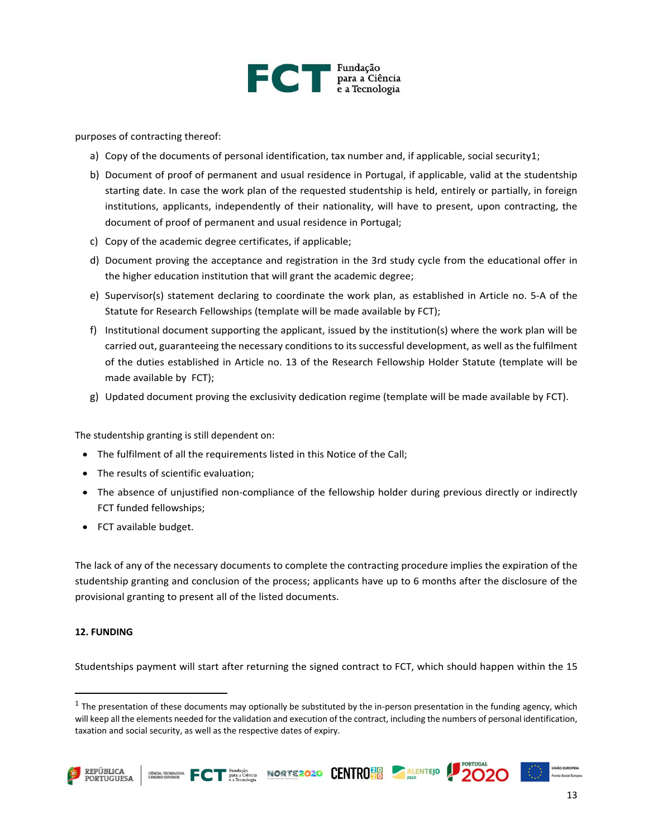

purposes of contracting thereof:

- a) Copy of the documents of personal identification, tax number and, if applicable, social security1;
- b) Document of proof of permanent and usual residence in Portugal, if applicable, valid at the studentship starting date. In case the work plan of the requested studentship is held, entirely or partially, in foreign institutions, applicants, independently of their nationality, will have to present, upon contracting, the document of proof of permanent and usual residence in Portugal;
- c) Copy of the academic degree certificates, if applicable;
- d) Document proving the acceptance and registration in the 3rd study cycle from the educational offer in the higher education institution that will grant the academic degree;
- e) Supervisor(s) statement declaring to coordinate the work plan, as established in Article no. 5-A of the Statute for Research Fellowships (template will be made available by FCT);
- f) Institutional document supporting the applicant, issued by the institution(s) where the work plan will be carried out, guaranteeing the necessary conditions to its successful development, as well as the fulfilment of the duties established in Article no. 13 of the Research Fellowship Holder Statute (template will be made available by FCT);
- g) Updated document proving the exclusivity dedication regime (template will be made available by FCT).

The studentship granting is still dependent on:

- The fulfilment of all the requirements listed in this Notice of the Call;
- The results of scientific evaluation;
- The absence of unjustified non-compliance of the fellowship holder during previous directly or indirectly FCT funded fellowships;
- FCT available budget.

The lack of any of the necessary documents to complete the contracting procedure implies the expiration of the studentship granting and conclusion of the process; applicants have up to 6 months after the disclosure of the provisional granting to present all of the listed documents.

#### **12. FUNDING**

Studentships payment will start after returning the signed contract to FCT, which should happen within the 15

 $^1$  The presentation of these documents may optionally be substituted by the in-person presentation in the funding agency, which will keep all the elements needed for the validation and execution of the contract, including the numbers of personal identification, taxation and social security, as well as the respective dates of expiry.





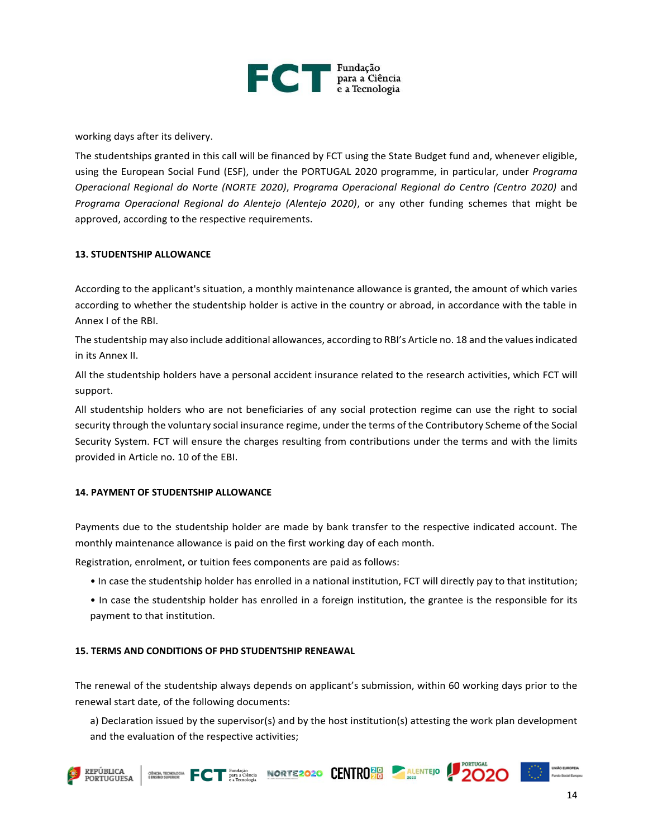

working days after its delivery.

The studentships granted in this call will be financed by FCT using the State Budget fund and, whenever eligible, using the European Social Fund (ESF), under the PORTUGAL 2020 programme, in particular, under *Programa Operacional Regional do Norte (NORTE 2020)*, *Programa Operacional Regional do Centro (Centro 2020)* and *Programa Operacional Regional do Alentejo (Alentejo 2020)*, or any other funding schemes that might be approved, according to the respective requirements.

#### **13. STUDENTSHIP ALLOWANCE**

According to the applicant's situation, a monthly maintenance allowance is granted, the amount of which varies according to whether the studentship holder is active in the country or abroad, in accordance with the table in Annex I of the RBI.

The studentship may also include additional allowances, according to RBI's Article no. 18 and the values indicated in its Annex II.

All the studentship holders have a personal accident insurance related to the research activities, which FCT will support.

All studentship holders who are not beneficiaries of any social protection regime can use the right to social security through the voluntary social insurance regime, under the terms of the Contributory Scheme of the Social Security System. FCT will ensure the charges resulting from contributions under the terms and with the limits provided in Article no. 10 of the EBI.

#### **14. PAYMENT OF STUDENTSHIP ALLOWANCE**

Payments due to the studentship holder are made by bank transfer to the respective indicated account. The monthly maintenance allowance is paid on the first working day of each month.

Registration, enrolment, or tuition fees components are paid as follows:

- In case the studentship holder has enrolled in a national institution, FCT will directly pay to that institution;
- In case the studentship holder has enrolled in a foreign institution, the grantee is the responsible for its payment to that institution.

#### **15. TERMS AND CONDITIONS OF PHD STUDENTSHIP RENEAWAL**

The renewal of the studentship always depends on applicant's submission, within 60 working days prior to the renewal start date, of the following documents:

a) Declaration issued by the supervisor(s) and by the host institution(s) attesting the work plan development and the evaluation of the respective activities;

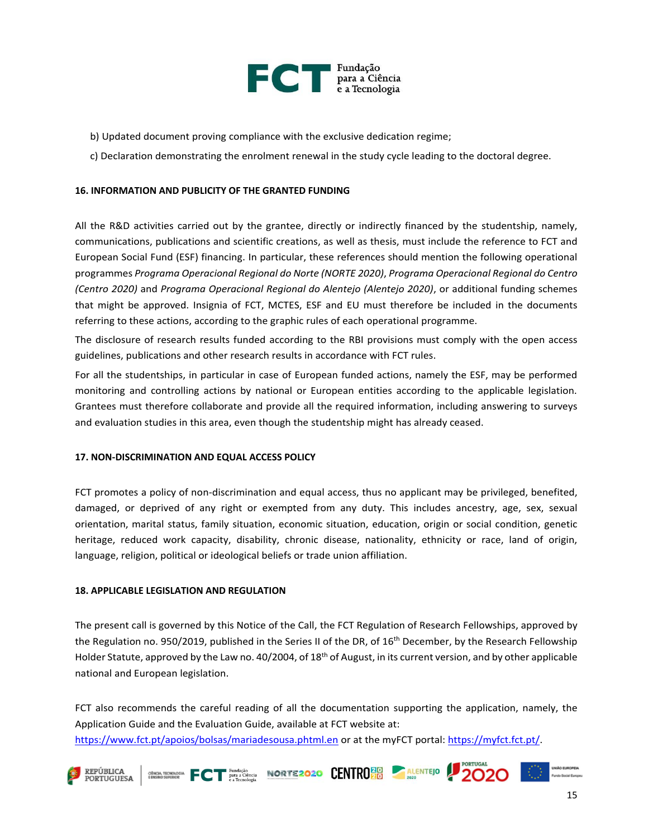

- b) Updated document proving compliance with the exclusive dedication regime;
- c) Declaration demonstrating the enrolment renewal in the study cycle leading to the doctoral degree.

#### **16. INFORMATION AND PUBLICITY OF THE GRANTED FUNDING**

All the R&D activities carried out by the grantee, directly or indirectly financed by the studentship, namely, communications, publications and scientific creations, as well as thesis, must include the reference to FCT and European Social Fund (ESF) financing. In particular, these references should mention the following operational programmes *Programa Operacional Regional do Norte (NORTE 2020)*, *Programa Operacional Regional do Centro (Centro 2020)* and *Programa Operacional Regional do Alentejo (Alentejo 2020)*, or additional funding schemes that might be approved. Insignia of FCT, MCTES, ESF and EU must therefore be included in the documents referring to these actions, according to the graphic rules of each operational programme.

The disclosure of research results funded according to the RBI provisions must comply with the open access guidelines, publications and other research results in accordance with FCT rules.

For all the studentships, in particular in case of European funded actions, namely the ESF, may be performed monitoring and controlling actions by national or European entities according to the applicable legislation. Grantees must therefore collaborate and provide all the required information, including answering to surveys and evaluation studies in this area, even though the studentship might has already ceased.

#### **17. NON-DISCRIMINATION AND EQUAL ACCESS POLICY**

FCT promotes a policy of non-discrimination and equal access, thus no applicant may be privileged, benefited, damaged, or deprived of any right or exempted from any duty. This includes ancestry, age, sex, sexual orientation, marital status, family situation, economic situation, education, origin or social condition, genetic heritage, reduced work capacity, disability, chronic disease, nationality, ethnicity or race, land of origin, language, religion, political or ideological beliefs or trade union affiliation.

#### **18. APPLICABLE LEGISLATION AND REGULATION**

The present call is governed by this Notice of the Call, the FCT Regulation of Research Fellowships, approved by the Regulation no. 950/2019, published in the Series II of the DR, of 16<sup>th</sup> December, by the Research Fellowship Holder Statute, approved by the Law no. 40/2004, of 18<sup>th</sup> of August, in its current version, and by other applicable national and European legislation.

FCT also recommends the careful reading of all the documentation supporting the application, namely, the Application Guide and the Evaluation Guide, available at FCT website at: <https://www.fct.pt/apoios/bolsas/mariadesousa.phtml.en> or at the myFCT portal: [https://myfct.fct.pt/.](https://myfct.fct.pt/)